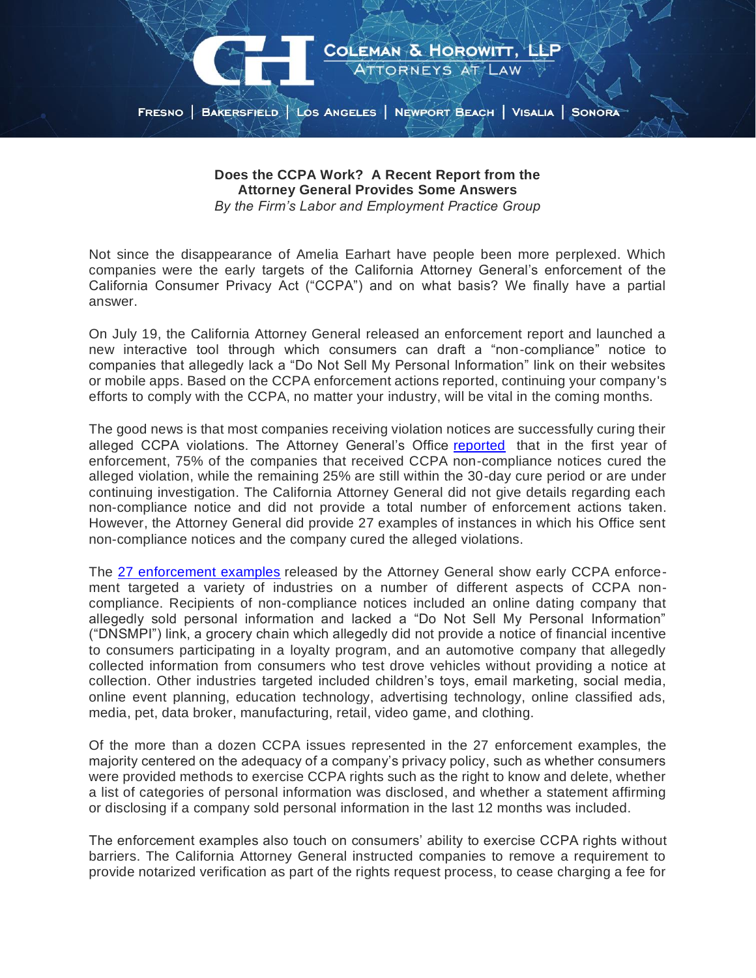

**Does the CCPA Work? A Recent Report from the Attorney General Provides Some Answers** *By the Firm's Labor and Employment Practice Group*

Not since the disappearance of Amelia Earhart have people been more perplexed. Which companies were the early targets of the California Attorney General's enforcement of the California Consumer Privacy Act ("CCPA") and on what basis? We finally have a partial answer.

On July 19, the California Attorney General released an enforcement report and launched a new interactive tool through which consumers can draft a "non-compliance" notice to companies that allegedly lack a "Do Not Sell My Personal Information" link on their websites or mobile apps. Based on the CCPA enforcement actions reported, continuing your company's efforts to comply with the CCPA, no matter your industry, will be vital in the coming months.

The good news is that most companies receiving violation notices are successfully curing their alleged CCPA violations. The Attorney General's Office [reported](https://oag.ca.gov/news/press-releases/attorney-general-bonta-announces-first-year-enforcement-update-california) that in the first year of enforcement, 75% of the companies that received CCPA non-compliance notices cured the alleged violation, while the remaining 25% are still within the 30-day cure period or are under continuing investigation. The California Attorney General did not give details regarding each non-compliance notice and did not provide a total number of enforcement actions taken. However, the Attorney General did provide 27 examples of instances in which his Office sent non-compliance notices and the company cured the alleged violations.

The 27 [enforcement examples](https://oag.ca.gov/privacy/ccpa/enforcement) released by the Attorney General show early CCPA enforcement targeted a variety of industries on a number of different aspects of CCPA noncompliance. Recipients of non-compliance notices included an online dating company that allegedly sold personal information and lacked a "Do Not Sell My Personal Information" ("DNSMPI") link, a grocery chain which allegedly did not provide a notice of financial incentive to consumers participating in a loyalty program, and an automotive company that allegedly collected information from consumers who test drove vehicles without providing a notice at collection. Other industries targeted included children's toys, email marketing, social media, online event planning, education technology, advertising technology, online classified ads, media, pet, data broker, manufacturing, retail, video game, and clothing.

Of the more than a dozen CCPA issues represented in the 27 enforcement examples, the majority centered on the adequacy of a company's privacy policy, such as whether consumers were provided methods to exercise CCPA rights such as the right to know and delete, whether a list of categories of personal information was disclosed, and whether a statement affirming or disclosing if a company sold personal information in the last 12 months was included.

The enforcement examples also touch on consumers' ability to exercise CCPA rights without barriers. The California Attorney General instructed companies to remove a requirement to provide notarized verification as part of the rights request process, to cease charging a fee for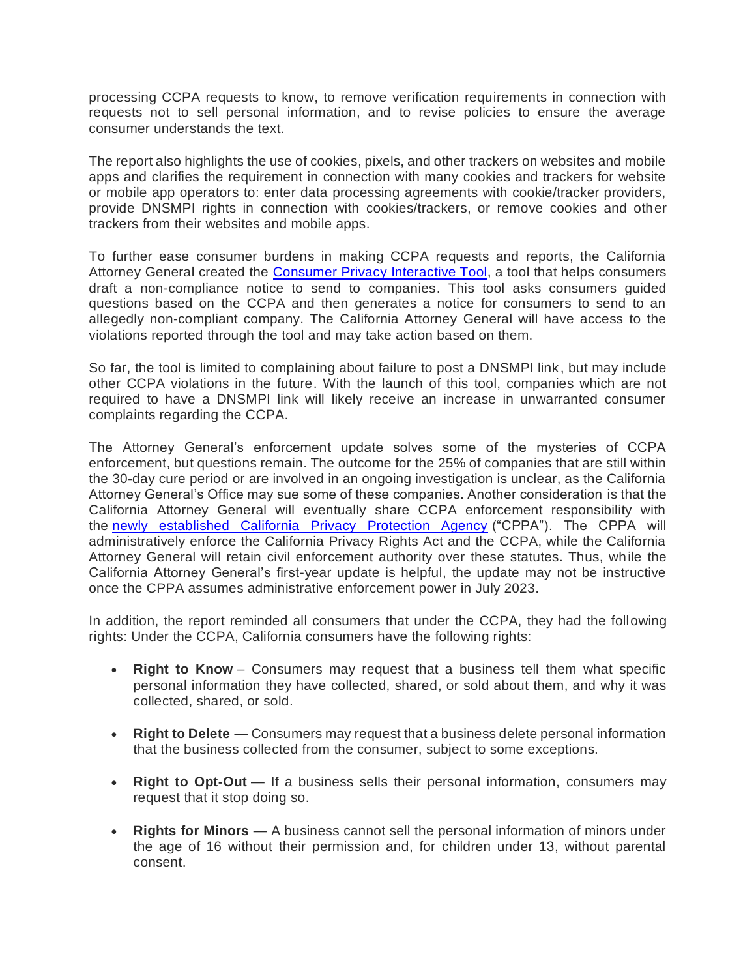processing CCPA requests to know, to remove verification requirements in connection with requests not to sell personal information, and to revise policies to ensure the average consumer understands the text.

The report also highlights the use of cookies, pixels, and other trackers on websites and mobile apps and clarifies the requirement in connection with many cookies and trackers for website or mobile app operators to: enter data processing agreements with cookie/tracker providers, provide DNSMPI rights in connection with cookies/trackers, or remove cookies and other trackers from their websites and mobile apps.

To further ease consumer burdens in making CCPA requests and reports, the California Attorney General created the [Consumer Privacy Interactive Tool,](https://oag.ca.gov/consumer-privacy-tool) a tool that helps consumers draft a non-compliance notice to send to companies. This tool asks consumers guided questions based on the CCPA and then generates a notice for consumers to send to an allegedly non-compliant company. The California Attorney General will have access to the violations reported through the tool and may take action based on them.

So far, the tool is limited to complaining about failure to post a DNSMPI link, but may include other CCPA violations in the future. With the launch of this tool, companies which are not required to have a DNSMPI link will likely receive an increase in unwarranted consumer complaints regarding the CCPA.

The Attorney General's enforcement update solves some of the mysteries of CCPA enforcement, but questions remain. The outcome for the 25% of companies that are still within the 30-day cure period or are involved in an ongoing investigation is unclear, as the California Attorney General's Office may sue some of these companies. Another consideration is that the California Attorney General will eventually share CCPA enforcement responsibility with the [newly established California Privacy Protection Agency](https://www.gov.ca.gov/2021/03/17/california-officials-announce-california-privacy-protection-agency-board-appointments/) ("CPPA"). The CPPA will administratively enforce the California Privacy Rights Act and the CCPA, while the California Attorney General will retain civil enforcement authority over these statutes. Thus, while the California Attorney General's first-year update is helpful, the update may not be instructive once the CPPA assumes administrative enforcement power in July 2023.

In addition, the report reminded all consumers that under the CCPA, they had the following rights: Under the CCPA, California consumers have the following rights:

- **Right to Know** Consumers may request that a business tell them what specific personal information they have collected, shared, or sold about them, and why it was collected, shared, or sold.
- **Right to Delete** Consumers may request that a business delete personal information that the business collected from the consumer, subject to some exceptions.
- **Right to Opt-Out** If a business sells their personal information, consumers may request that it stop doing so.
- **Rights for Minors** A business cannot sell the personal information of minors under the age of 16 without their permission and, for children under 13, without parental consent.